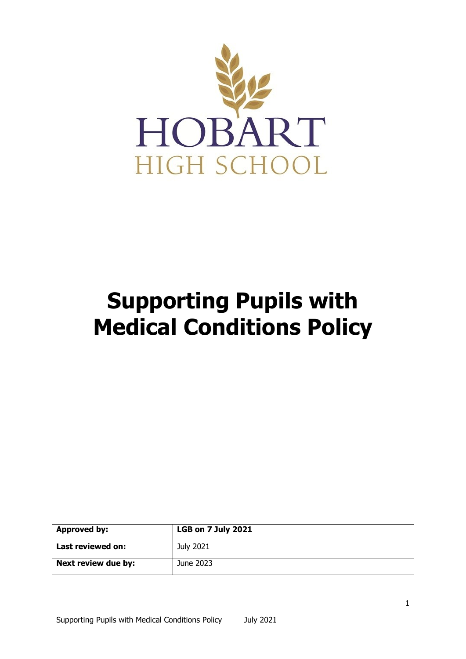

# **Supporting Pupils with Medical Conditions Policy**

| <b>Approved by:</b> | <b>LGB on 7 July 2021</b> |
|---------------------|---------------------------|
| Last reviewed on:   | July 2021                 |
| Next review due by: | June 2023                 |

1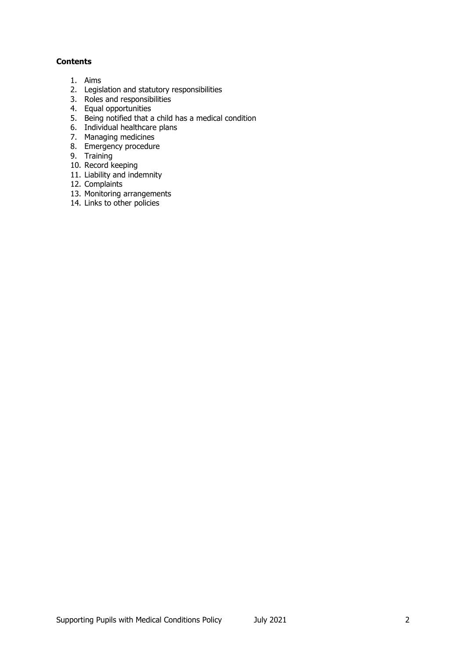# **Contents**

- 1. Aims
- 2. Legislation and statutory responsibilities
- 3. Roles and responsibilities
- 4. Equal opportunities
- 5. Being notified that a child has a medical condition
- 6. Individual healthcare plans
- 7. Managing medicines
- 8. Emergency procedure
- 9. Training
- 10. Record keeping
- 11. Liability and indemnity
- 12. Complaints
- 13. Monitoring arrangements
- 14. Links to other policies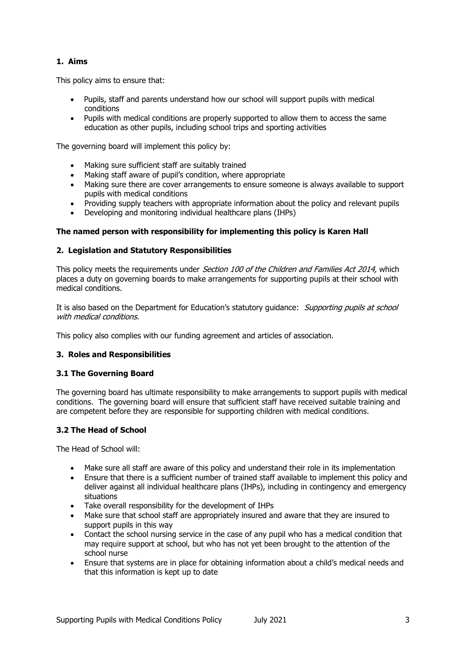# **1. Aims**

This policy aims to ensure that:

- Pupils, staff and parents understand how our school will support pupils with medical conditions
- Pupils with medical conditions are properly supported to allow them to access the same education as other pupils, including school trips and sporting activities

The governing board will implement this policy by:

- Making sure sufficient staff are suitably trained
- Making staff aware of pupil's condition, where appropriate
- Making sure there are cover arrangements to ensure someone is always available to support pupils with medical conditions
- Providing supply teachers with appropriate information about the policy and relevant pupils
- Developing and monitoring individual healthcare plans (IHPs)

# **The named person with responsibility for implementing this policy is Karen Hall**

## **2. Legislation and Statutory Responsibilities**

This policy meets the requirements under Section 100 of the Children and Families Act 2014, which places a duty on governing boards to make arrangements for supporting pupils at their school with medical conditions.

It is also based on the Department for Education's statutory guidance: Supporting pupils at school with medical conditions.

This policy also complies with our funding agreement and articles of association.

## **3. Roles and Responsibilities**

## **3.1 The Governing Board**

The governing board has ultimate responsibility to make arrangements to support pupils with medical conditions. The governing board will ensure that sufficient staff have received suitable training and are competent before they are responsible for supporting children with medical conditions.

# **3.2 The Head of School**

The Head of School will:

- Make sure all staff are aware of this policy and understand their role in its implementation
- Ensure that there is a sufficient number of trained staff available to implement this policy and deliver against all individual healthcare plans (IHPs), including in contingency and emergency situations
- Take overall responsibility for the development of IHPs
- Make sure that school staff are appropriately insured and aware that they are insured to support pupils in this way
- Contact the school nursing service in the case of any pupil who has a medical condition that may require support at school, but who has not yet been brought to the attention of the school nurse
- Ensure that systems are in place for obtaining information about a child's medical needs and that this information is kept up to date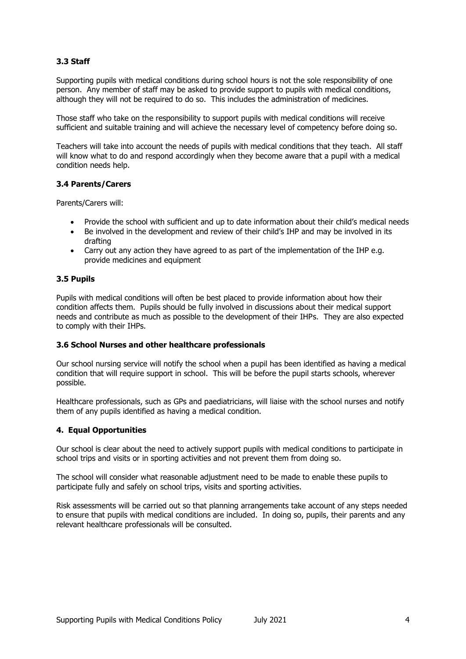# **3.3 Staff**

Supporting pupils with medical conditions during school hours is not the sole responsibility of one person. Any member of staff may be asked to provide support to pupils with medical conditions, although they will not be required to do so. This includes the administration of medicines.

Those staff who take on the responsibility to support pupils with medical conditions will receive sufficient and suitable training and will achieve the necessary level of competency before doing so.

Teachers will take into account the needs of pupils with medical conditions that they teach. All staff will know what to do and respond accordingly when they become aware that a pupil with a medical condition needs help.

## **3.4 Parents/Carers**

Parents/Carers will:

- Provide the school with sufficient and up to date information about their child's medical needs
- Be involved in the development and review of their child's IHP and may be involved in its drafting
- Carry out any action they have agreed to as part of the implementation of the IHP e.g. provide medicines and equipment

## **3.5 Pupils**

Pupils with medical conditions will often be best placed to provide information about how their condition affects them. Pupils should be fully involved in discussions about their medical support needs and contribute as much as possible to the development of their IHPs. They are also expected to comply with their IHPs.

## **3.6 School Nurses and other healthcare professionals**

Our school nursing service will notify the school when a pupil has been identified as having a medical condition that will require support in school. This will be before the pupil starts schools, wherever possible.

Healthcare professionals, such as GPs and paediatricians, will liaise with the school nurses and notify them of any pupils identified as having a medical condition.

## **4. Equal Opportunities**

Our school is clear about the need to actively support pupils with medical conditions to participate in school trips and visits or in sporting activities and not prevent them from doing so.

The school will consider what reasonable adjustment need to be made to enable these pupils to participate fully and safely on school trips, visits and sporting activities.

Risk assessments will be carried out so that planning arrangements take account of any steps needed to ensure that pupils with medical conditions are included. In doing so, pupils, their parents and any relevant healthcare professionals will be consulted.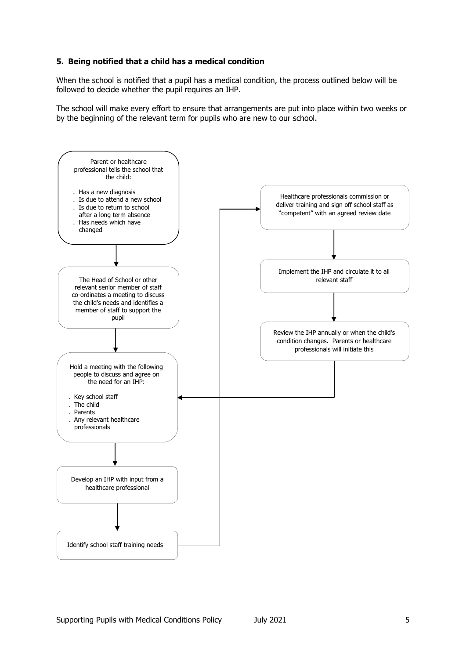# **5. Being notified that a child has a medical condition**

When the school is notified that a pupil has a medical condition, the process outlined below will be followed to decide whether the pupil requires an IHP.

The school will make every effort to ensure that arrangements are put into place within two weeks or by the beginning of the relevant term for pupils who are new to our school.

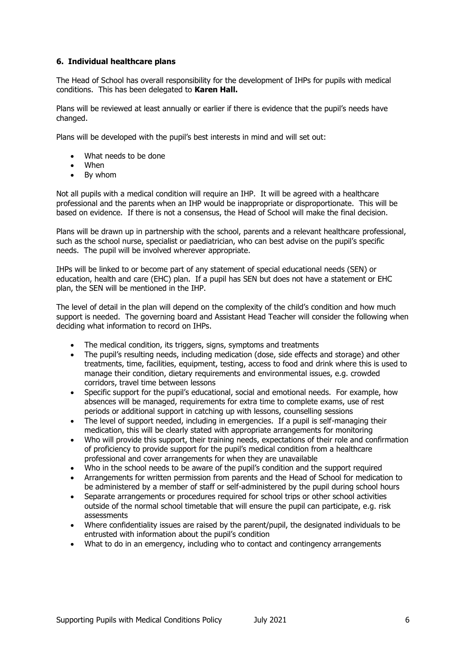# **6. Individual healthcare plans**

The Head of School has overall responsibility for the development of IHPs for pupils with medical conditions. This has been delegated to **Karen Hall.**

Plans will be reviewed at least annually or earlier if there is evidence that the pupil's needs have changed.

Plans will be developed with the pupil's best interests in mind and will set out:

- What needs to be done
- When
- By whom

Not all pupils with a medical condition will require an IHP. It will be agreed with a healthcare professional and the parents when an IHP would be inappropriate or disproportionate. This will be based on evidence. If there is not a consensus, the Head of School will make the final decision.

Plans will be drawn up in partnership with the school, parents and a relevant healthcare professional, such as the school nurse, specialist or paediatrician, who can best advise on the pupil's specific needs. The pupil will be involved wherever appropriate.

IHPs will be linked to or become part of any statement of special educational needs (SEN) or education, health and care (EHC) plan. If a pupil has SEN but does not have a statement or EHC plan, the SEN will be mentioned in the IHP.

The level of detail in the plan will depend on the complexity of the child's condition and how much support is needed. The governing board and Assistant Head Teacher will consider the following when deciding what information to record on IHPs.

- The medical condition, its triggers, signs, symptoms and treatments
- The pupil's resulting needs, including medication (dose, side effects and storage) and other treatments, time, facilities, equipment, testing, access to food and drink where this is used to manage their condition, dietary requirements and environmental issues, e.g. crowded corridors, travel time between lessons
- Specific support for the pupil's educational, social and emotional needs. For example, how absences will be managed, requirements for extra time to complete exams, use of rest periods or additional support in catching up with lessons, counselling sessions
- The level of support needed, including in emergencies. If a pupil is self-managing their medication, this will be clearly stated with appropriate arrangements for monitoring
- Who will provide this support, their training needs, expectations of their role and confirmation of proficiency to provide support for the pupil's medical condition from a healthcare professional and cover arrangements for when they are unavailable
- Who in the school needs to be aware of the pupil's condition and the support required
- Arrangements for written permission from parents and the Head of School for medication to be administered by a member of staff or self-administered by the pupil during school hours
- Separate arrangements or procedures required for school trips or other school activities outside of the normal school timetable that will ensure the pupil can participate, e.g. risk assessments
- Where confidentiality issues are raised by the parent/pupil, the designated individuals to be entrusted with information about the pupil's condition
- What to do in an emergency, including who to contact and contingency arrangements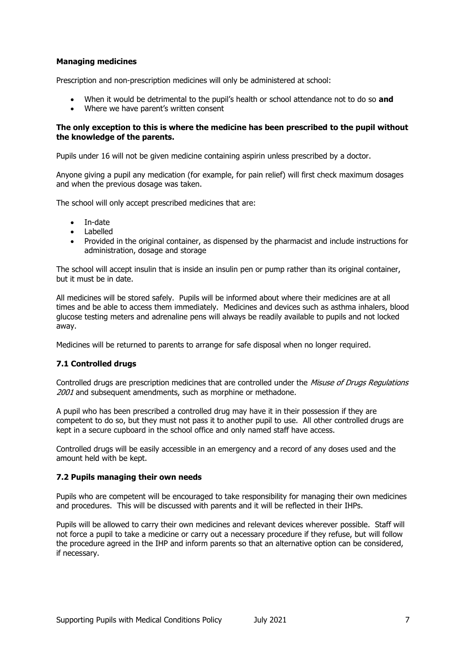# **Managing medicines**

Prescription and non-prescription medicines will only be administered at school:

- When it would be detrimental to the pupil's health or school attendance not to do so **and**
- Where we have parent's written consent

## **The only exception to this is where the medicine has been prescribed to the pupil without the knowledge of the parents.**

Pupils under 16 will not be given medicine containing aspirin unless prescribed by a doctor.

Anyone giving a pupil any medication (for example, for pain relief) will first check maximum dosages and when the previous dosage was taken.

The school will only accept prescribed medicines that are:

- In-date
- Labelled
- Provided in the original container, as dispensed by the pharmacist and include instructions for administration, dosage and storage

The school will accept insulin that is inside an insulin pen or pump rather than its original container, but it must be in date.

All medicines will be stored safely. Pupils will be informed about where their medicines are at all times and be able to access them immediately. Medicines and devices such as asthma inhalers, blood glucose testing meters and adrenaline pens will always be readily available to pupils and not locked away.

Medicines will be returned to parents to arrange for safe disposal when no longer required.

# **7.1 Controlled drugs**

Controlled drugs are prescription medicines that are controlled under the Misuse of Drugs Regulations 2001 and subsequent amendments, such as morphine or methadone.

A pupil who has been prescribed a controlled drug may have it in their possession if they are competent to do so, but they must not pass it to another pupil to use. All other controlled drugs are kept in a secure cupboard in the school office and only named staff have access.

Controlled drugs will be easily accessible in an emergency and a record of any doses used and the amount held with be kept.

## **7.2 Pupils managing their own needs**

Pupils who are competent will be encouraged to take responsibility for managing their own medicines and procedures. This will be discussed with parents and it will be reflected in their IHPs.

Pupils will be allowed to carry their own medicines and relevant devices wherever possible. Staff will not force a pupil to take a medicine or carry out a necessary procedure if they refuse, but will follow the procedure agreed in the IHP and inform parents so that an alternative option can be considered, if necessary.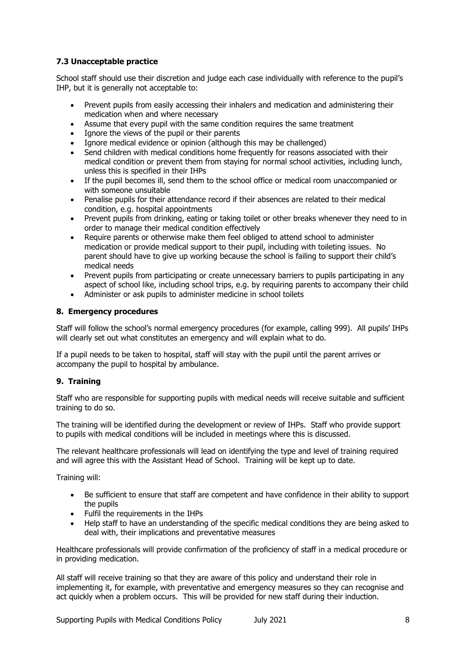# **7.3 Unacceptable practice**

School staff should use their discretion and judge each case individually with reference to the pupil's IHP, but it is generally not acceptable to:

- Prevent pupils from easily accessing their inhalers and medication and administering their medication when and where necessary
- Assume that every pupil with the same condition requires the same treatment
- Ignore the views of the pupil or their parents
- Ignore medical evidence or opinion (although this may be challenged)
- Send children with medical conditions home frequently for reasons associated with their medical condition or prevent them from staying for normal school activities, including lunch, unless this is specified in their IHPs
- If the pupil becomes ill, send them to the school office or medical room unaccompanied or with someone unsuitable
- Penalise pupils for their attendance record if their absences are related to their medical condition, e.g. hospital appointments
- Prevent pupils from drinking, eating or taking toilet or other breaks whenever they need to in order to manage their medical condition effectively
- Require parents or otherwise make them feel obliged to attend school to administer medication or provide medical support to their pupil, including with toileting issues. No parent should have to give up working because the school is failing to support their child's medical needs
- Prevent pupils from participating or create unnecessary barriers to pupils participating in any aspect of school like, including school trips, e.g. by requiring parents to accompany their child
- Administer or ask pupils to administer medicine in school toilets

# **8. Emergency procedures**

Staff will follow the school's normal emergency procedures (for example, calling 999). All pupils' IHPs will clearly set out what constitutes an emergency and will explain what to do.

If a pupil needs to be taken to hospital, staff will stay with the pupil until the parent arrives or accompany the pupil to hospital by ambulance.

# **9. Training**

Staff who are responsible for supporting pupils with medical needs will receive suitable and sufficient training to do so.

The training will be identified during the development or review of IHPs. Staff who provide support to pupils with medical conditions will be included in meetings where this is discussed.

The relevant healthcare professionals will lead on identifying the type and level of training required and will agree this with the Assistant Head of School. Training will be kept up to date.

Training will:

- Be sufficient to ensure that staff are competent and have confidence in their ability to support the pupils
- Fulfil the requirements in the IHPs
- Help staff to have an understanding of the specific medical conditions they are being asked to deal with, their implications and preventative measures

Healthcare professionals will provide confirmation of the proficiency of staff in a medical procedure or in providing medication.

All staff will receive training so that they are aware of this policy and understand their role in implementing it, for example, with preventative and emergency measures so they can recognise and act quickly when a problem occurs. This will be provided for new staff during their induction.